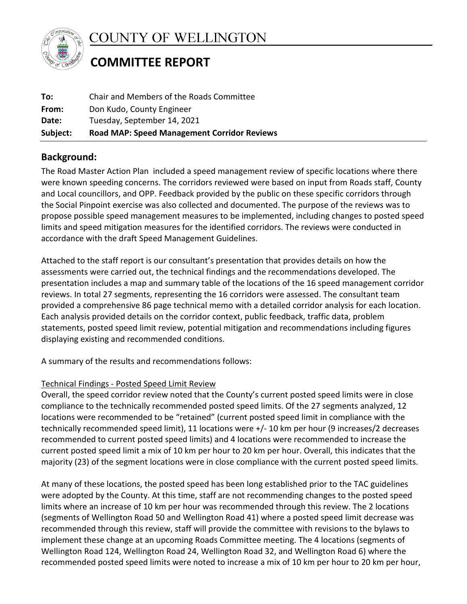

COUNTY OF WELLINGTON

# **COMMITTEE REPORT**

| <b>Road MAP: Speed Management Corridor Reviews</b><br>Subject: |  |
|----------------------------------------------------------------|--|
| Tuesday, September 14, 2021<br>Date:                           |  |
| Don Kudo, County Engineer<br>From:                             |  |
| Chair and Members of the Roads Committee<br>To:                |  |

## **Background:**

The Road Master Action Plan included a speed management review of specific locations where there were known speeding concerns. The corridors reviewed were based on input from Roads staff, County and Local councillors, and OPP. Feedback provided by the public on these specific corridors through the Social Pinpoint exercise was also collected and documented. The purpose of the reviews was to propose possible speed management measures to be implemented, including changes to posted speed limits and speed mitigation measures for the identified corridors. The reviews were conducted in accordance with the draft Speed Management Guidelines.

Attached to the staff report is our consultant's presentation that provides details on how the assessments were carried out, the technical findings and the recommendations developed. The presentation includes a map and summary table of the locations of the 16 speed management corridor reviews. In total 27 segments, representing the 16 corridors were assessed. The consultant team provided a comprehensive 86 page technical memo with a detailed corridor analysis for each location. Each analysis provided details on the corridor context, public feedback, traffic data, problem statements, posted speed limit review, potential mitigation and recommendations including figures displaying existing and recommended conditions.

A summary of the results and recommendations follows:

### Technical Findings - Posted Speed Limit Review

Overall, the speed corridor review noted that the County's current posted speed limits were in close compliance to the technically recommended posted speed limits. Of the 27 segments analyzed, 12 locations were recommended to be "retained" (current posted speed limit in compliance with the technically recommended speed limit), 11 locations were +/- 10 km per hour (9 increases/2 decreases recommended to current posted speed limits) and 4 locations were recommended to increase the current posted speed limit a mix of 10 km per hour to 20 km per hour. Overall, this indicates that the majority (23) of the segment locations were in close compliance with the current posted speed limits.

At many of these locations, the posted speed has been long established prior to the TAC guidelines were adopted by the County. At this time, staff are not recommending changes to the posted speed limits where an increase of 10 km per hour was recommended through this review. The 2 locations (segments of Wellington Road 50 and Wellington Road 41) where a posted speed limit decrease was recommended through this review, staff will provide the committee with revisions to the bylaws to implement these change at an upcoming Roads Committee meeting. The 4 locations (segments of Wellington Road 124, Wellington Road 24, Wellington Road 32, and Wellington Road 6) where the recommended posted speed limits were noted to increase a mix of 10 km per hour to 20 km per hour,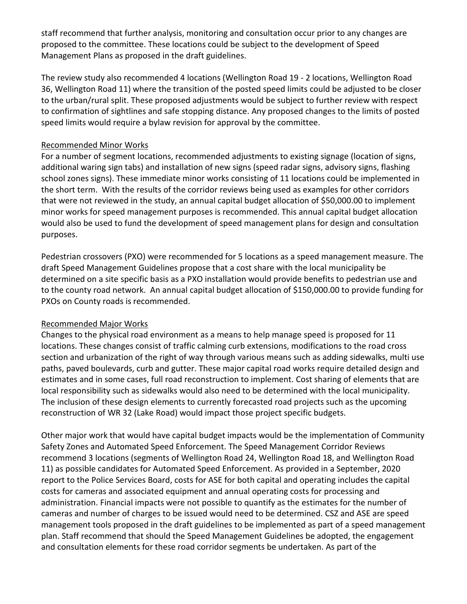staff recommend that further analysis, monitoring and consultation occur prior to any changes are staff recommend that further analysis, monitoring and consultation occur prior to any changes proposed to the committee. These locations could be subject to the development of Speed Management Plans as proposed in the draft guidelines.

The review study also recommended 4 locations (Wellington Road 19 - 2 locations, Wellington Road 36, Wellington Road 11) where the transition of the posted speed limits could be adjusted to be closer to the urban/rural split. These proposed adjustments would be subject to further review with respect to confirmation of sightlines and safe stopping distance. Any proposed changes to the limits of posted speed limits would require a bylaw revision for approval by the committee.

#### Recommended Minor Works

For a number of segment locations, recommended adjustments to existing signage (location of signs, additional waring sign tabs) and installation of new signs (speed radar signs, advisory signs, flashing school zones signs). These immediate minor works consisting of 11 locations could be implemented in the short term. With the results of the corridor reviews being used as examples for other corridors that were not reviewed in the study, an annual capital budget allocation of \$50,000.00 to implement minor works for speed management purposes is recommended. This annual capital budget allocation would also be used to fund the development of speed management plans for design and consultation purposes.

Pedestrian crossovers (PXO) were recommended for 5 locations as a speed management measure. The draft Speed Management Guidelines propose that a cost share with the local municipality be determined on a site specific basis as a PXO installation would provide benefits to pedestrian use and to the county road network. An annual capital budget allocation of \$150,000.00 to provide funding for PXOs on County roads is recommended.

#### Recommended Major Works

Changes to the physical road environment as a means to help manage speed is proposed for 11 locations. These changes consist of traffic calming curb extensions, modifications to the road cross section and urbanization of the right of way through various means such as adding sidewalks, multi use paths, paved boulevards, curb and gutter. These major capital road works require detailed design and estimates and in some cases, full road reconstruction to implement. Cost sharing of elements that are local responsibility such as sidewalks would also need to be determined with the local municipality. The inclusion of these design elements to currently forecasted road projects such as the upcoming reconstruction of WR 32 (Lake Road) would impact those project specific budgets.

Other major work that would have capital budget impacts would be the implementation of Community Safety Zones and Automated Speed Enforcement. The Speed Management Corridor Reviews recommend 3 locations (segments of Wellington Road 24, Wellington Road 18, and Wellington Road 11) as possible candidates for Automated Speed Enforcement. As provided in a September, 2020 report to the Police Services Board, costs for ASE for both capital and operating includes the capital costs for cameras and associated equipment and annual operating costs for processing and administration. Financial impacts were not possible to quantify as the estimates for the number of cameras and number of charges to be issued would need to be determined. CSZ and ASE are speed management tools proposed in the draft guidelines to be implemented as part of a speed management plan. Staff recommend that should the Speed Management Guidelines be adopted, the engagement and consultation elements for these road corridor segments be undertaken. As part of the